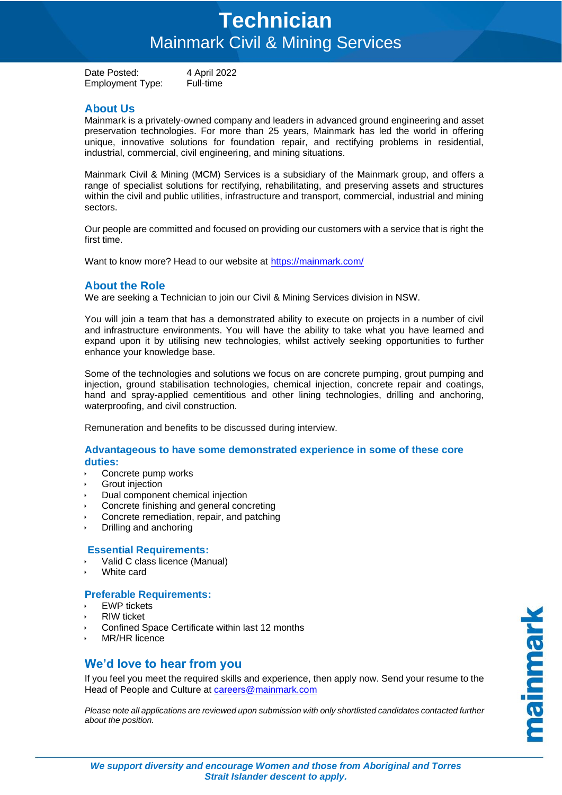## **Technician** Mainmark Civil & Mining Services

Date Posted: 4 April 2022 Employment Type: Full-time

## **About Us**

Mainmark is a privately-owned company and leaders in advanced ground engineering and asset preservation technologies. For more than 25 years, Mainmark has led the world in offering unique, innovative solutions for foundation repair, and rectifying problems in residential, industrial, commercial, civil engineering, and mining situations.

Mainmark Civil & Mining (MCM) Services is a subsidiary of the Mainmark group, and offers a range of specialist solutions for rectifying, rehabilitating, and preserving assets and structures within the civil and public utilities, infrastructure and transport, commercial, industrial and mining sectors.

Our people are committed and focused on providing our customers with a service that is right the first time.

Want to know more? Head to our website at<https://mainmark.com/>

### **About the Role**

We are seeking a Technician to join our Civil & Mining Services division in NSW.

You will join a team that has a demonstrated ability to execute on projects in a number of civil and infrastructure environments. You will have the ability to take what you have learned and expand upon it by utilising new technologies, whilst actively seeking opportunities to further enhance your knowledge base.

Some of the technologies and solutions we focus on are concrete pumping, grout pumping and injection, ground stabilisation technologies, chemical injection, concrete repair and coatings, hand and spray-applied cementitious and other lining technologies, drilling and anchoring, waterproofing, and civil construction.

Remuneration and benefits to be discussed during interview.

#### **Advantageous to have some demonstrated experience in some of these core duties:**

- Concrete pump works
- Grout injection
- Dual component chemical injection
- Concrete finishing and general concreting
- Concrete remediation, repair, and patching
- Drilling and anchoring

#### **Essential Requirements:**

- Valid C class licence (Manual)
- White card

#### **Preferable Requirements:**

- EWP tickets
- RIW ticket
- Confined Space Certificate within last 12 months
- MR/HR licence

## **We'd love to hear from you**

If you feel you meet the required skills and experience, then apply now. Send your resume to the Head of People and Culture at [careers@mainmark.com](mailto:careers@mainmark.com)

*Please note all applications are reviewed upon submission with only shortlisted candidates contacted further about the position.* 

mainmark